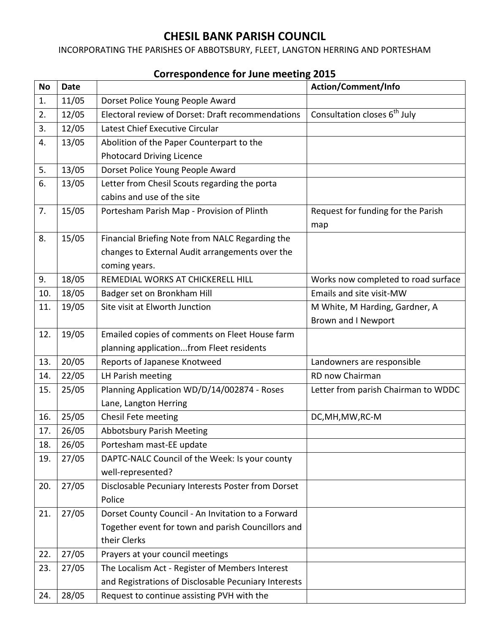## **CHESIL BANK PARISH COUNCIL**

INCORPORATING THE PARISHES OF ABBOTSBURY, FLEET, LANGTON HERRING AND PORTESHAM

| <b>No</b> | <b>Date</b> |                                                      | Action/Comment/Info                      |
|-----------|-------------|------------------------------------------------------|------------------------------------------|
| 1.        | 11/05       | Dorset Police Young People Award                     |                                          |
| 2.        | 12/05       | Electoral review of Dorset: Draft recommendations    | Consultation closes 6 <sup>th</sup> July |
| 3.        | 12/05       | Latest Chief Executive Circular                      |                                          |
| 4.        | 13/05       | Abolition of the Paper Counterpart to the            |                                          |
|           |             | <b>Photocard Driving Licence</b>                     |                                          |
| 5.        | 13/05       | Dorset Police Young People Award                     |                                          |
| 6.        | 13/05       | Letter from Chesil Scouts regarding the porta        |                                          |
|           |             | cabins and use of the site                           |                                          |
| 7.        | 15/05       | Portesham Parish Map - Provision of Plinth           | Request for funding for the Parish       |
|           |             |                                                      | map                                      |
| 8.        | 15/05       | Financial Briefing Note from NALC Regarding the      |                                          |
|           |             | changes to External Audit arrangements over the      |                                          |
|           |             | coming years.                                        |                                          |
| 9.        | 18/05       | REMEDIAL WORKS AT CHICKERELL HILL                    | Works now completed to road surface      |
| 10.       | 18/05       | Badger set on Bronkham Hill                          | Emails and site visit-MW                 |
| 11.       | 19/05       | Site visit at Elworth Junction                       | M White, M Harding, Gardner, A           |
|           |             |                                                      | <b>Brown and I Newport</b>               |
| 12.       | 19/05       | Emailed copies of comments on Fleet House farm       |                                          |
|           |             | planning applicationfrom Fleet residents             |                                          |
| 13.       | 20/05       | Reports of Japanese Knotweed                         | Landowners are responsible               |
| 14.       | 22/05       | LH Parish meeting                                    | RD now Chairman                          |
| 15.       | 25/05       | Planning Application WD/D/14/002874 - Roses          | Letter from parish Chairman to WDDC      |
|           |             | Lane, Langton Herring                                |                                          |
| 16.       | 25/05       | Chesil Fete meeting                                  | DC, MH, MW, RC-M                         |
| 17.       | 26/05       | <b>Abbotsbury Parish Meeting</b>                     |                                          |
| 18.       | 26/05       | Portesham mast-EE update                             |                                          |
| 19.       | 27/05       | DAPTC-NALC Council of the Week: Is your county       |                                          |
|           |             | well-represented?                                    |                                          |
| 20.       | 27/05       | Disclosable Pecuniary Interests Poster from Dorset   |                                          |
|           |             | Police                                               |                                          |
| 21.       | 27/05       | Dorset County Council - An Invitation to a Forward   |                                          |
|           |             | Together event for town and parish Councillors and   |                                          |
|           |             | their Clerks                                         |                                          |
| 22.       | 27/05       | Prayers at your council meetings                     |                                          |
| 23.       | 27/05       | The Localism Act - Register of Members Interest      |                                          |
|           |             | and Registrations of Disclosable Pecuniary Interests |                                          |
| 24.       | 28/05       | Request to continue assisting PVH with the           |                                          |

## **Correspondence for June meeting 2015**